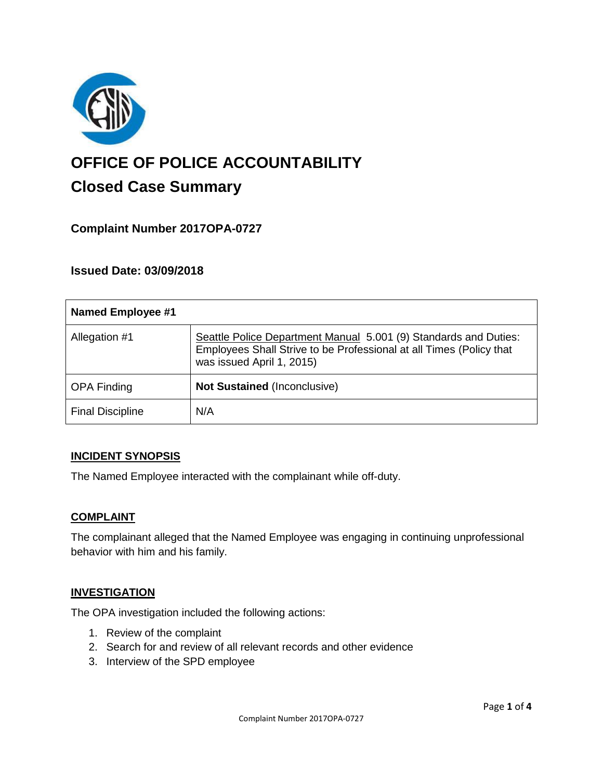

# **OFFICE OF POLICE ACCOUNTABILITY**

# **Closed Case Summary**

## **Complaint Number 2017OPA-0727**

### **Issued Date: 03/09/2018**

| <b>Named Employee #1</b> |                                                                                                                                                                      |
|--------------------------|----------------------------------------------------------------------------------------------------------------------------------------------------------------------|
| Allegation #1            | Seattle Police Department Manual 5.001 (9) Standards and Duties:<br>Employees Shall Strive to be Professional at all Times (Policy that<br>was issued April 1, 2015) |
| <b>OPA Finding</b>       | <b>Not Sustained (Inconclusive)</b>                                                                                                                                  |
| <b>Final Discipline</b>  | N/A                                                                                                                                                                  |

#### **INCIDENT SYNOPSIS**

The Named Employee interacted with the complainant while off-duty.

#### **COMPLAINT**

The complainant alleged that the Named Employee was engaging in continuing unprofessional behavior with him and his family.

#### **INVESTIGATION**

The OPA investigation included the following actions:

- 1. Review of the complaint
- 2. Search for and review of all relevant records and other evidence
- 3. Interview of the SPD employee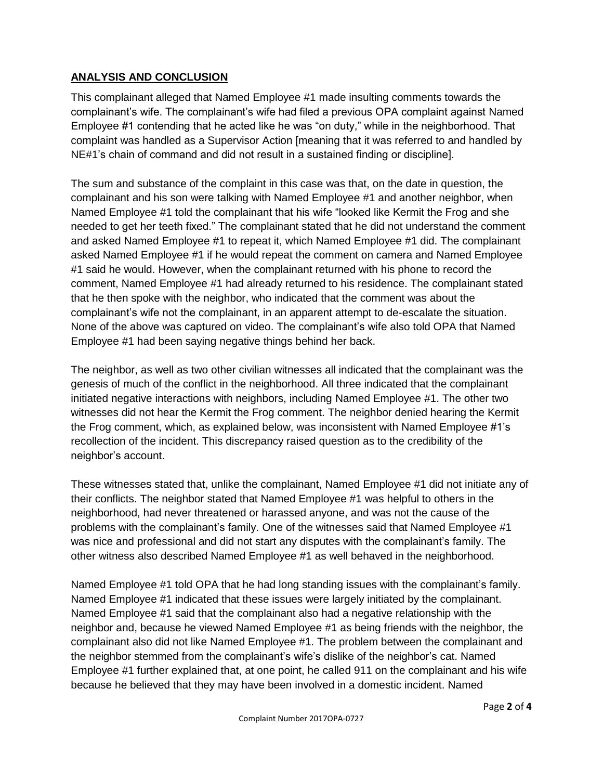#### **ANALYSIS AND CONCLUSION**

This complainant alleged that Named Employee #1 made insulting comments towards the complainant's wife. The complainant's wife had filed a previous OPA complaint against Named Employee #1 contending that he acted like he was "on duty," while in the neighborhood. That complaint was handled as a Supervisor Action [meaning that it was referred to and handled by NE#1's chain of command and did not result in a sustained finding or discipline].

The sum and substance of the complaint in this case was that, on the date in question, the complainant and his son were talking with Named Employee #1 and another neighbor, when Named Employee #1 told the complainant that his wife "looked like Kermit the Frog and she needed to get her teeth fixed." The complainant stated that he did not understand the comment and asked Named Employee #1 to repeat it, which Named Employee #1 did. The complainant asked Named Employee #1 if he would repeat the comment on camera and Named Employee #1 said he would. However, when the complainant returned with his phone to record the comment, Named Employee #1 had already returned to his residence. The complainant stated that he then spoke with the neighbor, who indicated that the comment was about the complainant's wife not the complainant, in an apparent attempt to de-escalate the situation. None of the above was captured on video. The complainant's wife also told OPA that Named Employee #1 had been saying negative things behind her back.

The neighbor, as well as two other civilian witnesses all indicated that the complainant was the genesis of much of the conflict in the neighborhood. All three indicated that the complainant initiated negative interactions with neighbors, including Named Employee #1. The other two witnesses did not hear the Kermit the Frog comment. The neighbor denied hearing the Kermit the Frog comment, which, as explained below, was inconsistent with Named Employee #1's recollection of the incident. This discrepancy raised question as to the credibility of the neighbor's account.

These witnesses stated that, unlike the complainant, Named Employee #1 did not initiate any of their conflicts. The neighbor stated that Named Employee #1 was helpful to others in the neighborhood, had never threatened or harassed anyone, and was not the cause of the problems with the complainant's family. One of the witnesses said that Named Employee #1 was nice and professional and did not start any disputes with the complainant's family. The other witness also described Named Employee #1 as well behaved in the neighborhood.

Named Employee #1 told OPA that he had long standing issues with the complainant's family. Named Employee #1 indicated that these issues were largely initiated by the complainant. Named Employee #1 said that the complainant also had a negative relationship with the neighbor and, because he viewed Named Employee #1 as being friends with the neighbor, the complainant also did not like Named Employee #1. The problem between the complainant and the neighbor stemmed from the complainant's wife's dislike of the neighbor's cat. Named Employee #1 further explained that, at one point, he called 911 on the complainant and his wife because he believed that they may have been involved in a domestic incident. Named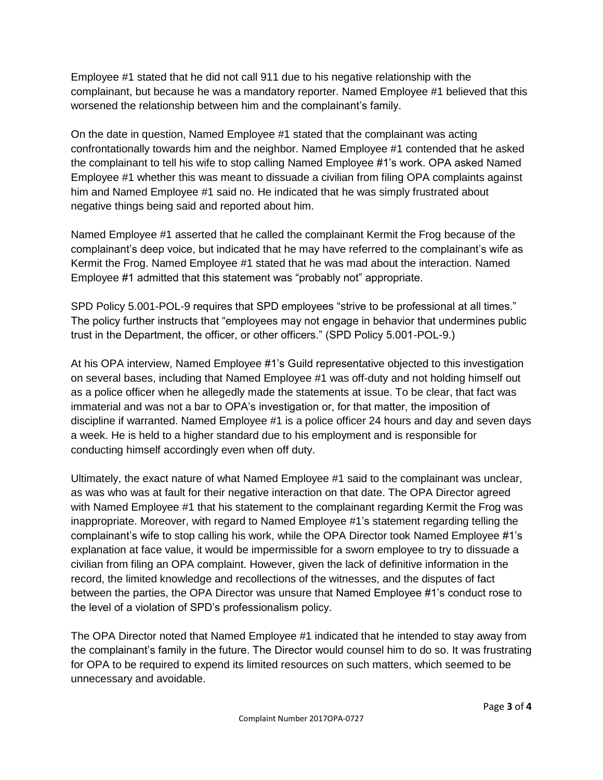Employee #1 stated that he did not call 911 due to his negative relationship with the complainant, but because he was a mandatory reporter. Named Employee #1 believed that this worsened the relationship between him and the complainant's family.

On the date in question, Named Employee #1 stated that the complainant was acting confrontationally towards him and the neighbor. Named Employee #1 contended that he asked the complainant to tell his wife to stop calling Named Employee #1's work. OPA asked Named Employee #1 whether this was meant to dissuade a civilian from filing OPA complaints against him and Named Employee #1 said no. He indicated that he was simply frustrated about negative things being said and reported about him.

Named Employee #1 asserted that he called the complainant Kermit the Frog because of the complainant's deep voice, but indicated that he may have referred to the complainant's wife as Kermit the Frog. Named Employee #1 stated that he was mad about the interaction. Named Employee #1 admitted that this statement was "probably not" appropriate.

SPD Policy 5.001-POL-9 requires that SPD employees "strive to be professional at all times." The policy further instructs that "employees may not engage in behavior that undermines public trust in the Department, the officer, or other officers." (SPD Policy 5.001-POL-9.)

At his OPA interview, Named Employee #1's Guild representative objected to this investigation on several bases, including that Named Employee #1 was off-duty and not holding himself out as a police officer when he allegedly made the statements at issue. To be clear, that fact was immaterial and was not a bar to OPA's investigation or, for that matter, the imposition of discipline if warranted. Named Employee #1 is a police officer 24 hours and day and seven days a week. He is held to a higher standard due to his employment and is responsible for conducting himself accordingly even when off duty.

Ultimately, the exact nature of what Named Employee #1 said to the complainant was unclear, as was who was at fault for their negative interaction on that date. The OPA Director agreed with Named Employee #1 that his statement to the complainant regarding Kermit the Frog was inappropriate. Moreover, with regard to Named Employee #1's statement regarding telling the complainant's wife to stop calling his work, while the OPA Director took Named Employee #1's explanation at face value, it would be impermissible for a sworn employee to try to dissuade a civilian from filing an OPA complaint. However, given the lack of definitive information in the record, the limited knowledge and recollections of the witnesses, and the disputes of fact between the parties, the OPA Director was unsure that Named Employee #1's conduct rose to the level of a violation of SPD's professionalism policy.

The OPA Director noted that Named Employee #1 indicated that he intended to stay away from the complainant's family in the future. The Director would counsel him to do so. It was frustrating for OPA to be required to expend its limited resources on such matters, which seemed to be unnecessary and avoidable.